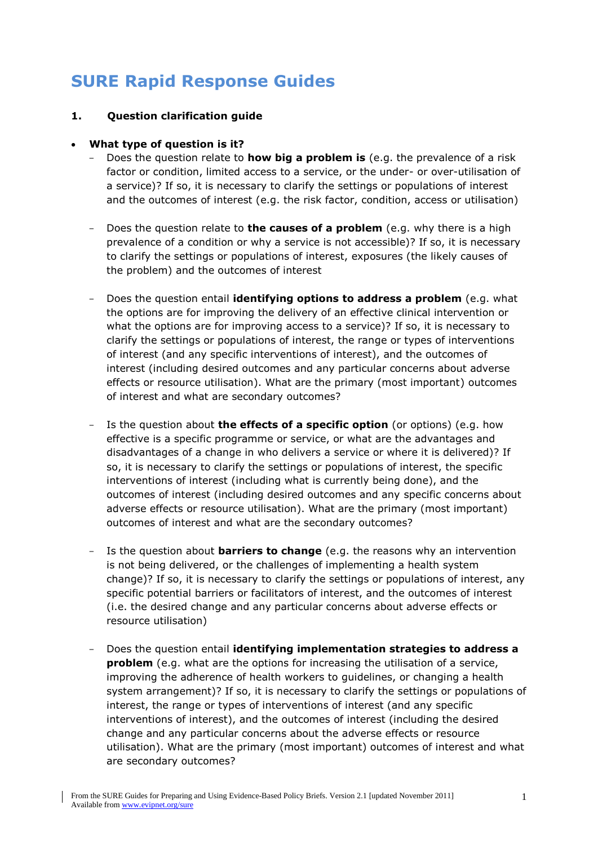# **SURE Rapid Response Guides**

#### **1. Question clarification guide**

#### **What type of question is it?**

- Does the question relate to **how big a problem is** (e.g. the prevalence of a risk factor or condition, limited access to a service, or the under- or over-utilisation of a service)? If so, it is necessary to clarify the settings or populations of interest and the outcomes of interest (e.g. the risk factor, condition, access or utilisation)
- Does the question relate to **the causes of a problem** (e.g. why there is a high prevalence of a condition or why a service is not accessible)? If so, it is necessary to clarify the settings or populations of interest, exposures (the likely causes of the problem) and the outcomes of interest
- Does the question entail **identifying options to address a problem** (e.g. what the options are for improving the delivery of an effective clinical intervention or what the options are for improving access to a service)? If so, it is necessary to clarify the settings or populations of interest, the range or types of interventions of interest (and any specific interventions of interest), and the outcomes of interest (including desired outcomes and any particular concerns about adverse effects or resource utilisation). What are the primary (most important) outcomes of interest and what are secondary outcomes?
- Is the question about **the effects of a specific option** (or options) (e.g. how effective is a specific programme or service, or what are the advantages and disadvantages of a change in who delivers a service or where it is delivered)? If so, it is necessary to clarify the settings or populations of interest, the specific interventions of interest (including what is currently being done), and the outcomes of interest (including desired outcomes and any specific concerns about adverse effects or resource utilisation). What are the primary (most important) outcomes of interest and what are the secondary outcomes?
- Is the question about **barriers to change** (e.g. the reasons why an intervention is not being delivered, or the challenges of implementing a health system change)? If so, it is necessary to clarify the settings or populations of interest, any specific potential barriers or facilitators of interest, and the outcomes of interest (i.e. the desired change and any particular concerns about adverse effects or resource utilisation)
- Does the question entail **identifying implementation strategies to address a problem** (e.g. what are the options for increasing the utilisation of a service, improving the adherence of health workers to guidelines, or changing a health system arrangement)? If so, it is necessary to clarify the settings or populations of interest, the range or types of interventions of interest (and any specific interventions of interest), and the outcomes of interest (including the desired change and any particular concerns about the adverse effects or resource utilisation). What are the primary (most important) outcomes of interest and what are secondary outcomes?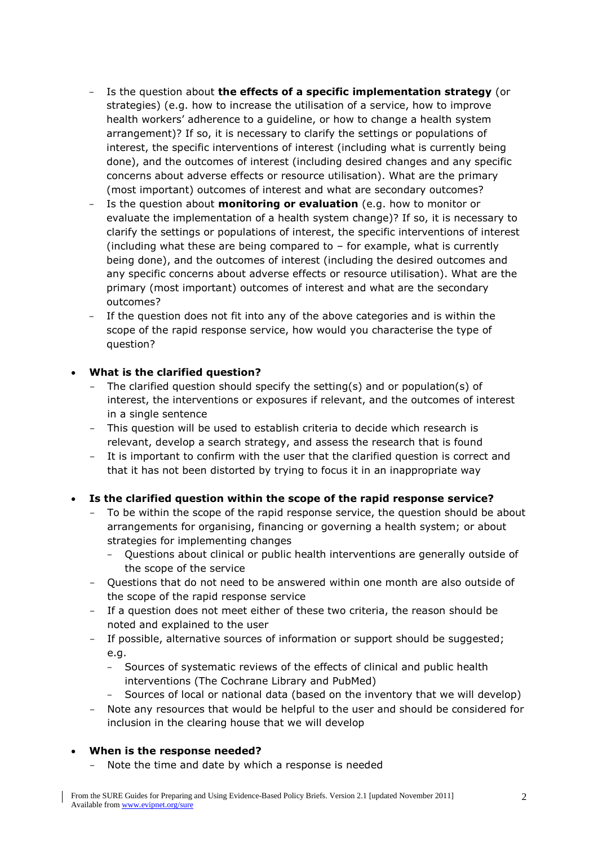- Is the question about **the effects of a specific implementation strategy** (or strategies) (e.g. how to increase the utilisation of a service, how to improve health workers" adherence to a guideline, or how to change a health system arrangement)? If so, it is necessary to clarify the settings or populations of interest, the specific interventions of interest (including what is currently being done), and the outcomes of interest (including desired changes and any specific concerns about adverse effects or resource utilisation). What are the primary (most important) outcomes of interest and what are secondary outcomes?
- Is the question about **monitoring or evaluation** (e.g. how to monitor or evaluate the implementation of a health system change)? If so, it is necessary to clarify the settings or populations of interest, the specific interventions of interest (including what these are being compared to – for example, what is currently being done), and the outcomes of interest (including the desired outcomes and any specific concerns about adverse effects or resource utilisation). What are the primary (most important) outcomes of interest and what are the secondary outcomes?
- If the question does not fit into any of the above categories and is within the scope of the rapid response service, how would you characterise the type of question?

## **What is the clarified question?**

- The clarified question should specify the setting(s) and or population(s) of interest, the interventions or exposures if relevant, and the outcomes of interest in a single sentence
- This question will be used to establish criteria to decide which research is relevant, develop a search strategy, and assess the research that is found
- It is important to confirm with the user that the clarified question is correct and that it has not been distorted by trying to focus it in an inappropriate way
- **Is the clarified question within the scope of the rapid response service?**
	- To be within the scope of the rapid response service, the question should be about arrangements for organising, financing or governing a health system; or about strategies for implementing changes
		- Questions about clinical or public health interventions are generally outside of the scope of the service
	- Questions that do not need to be answered within one month are also outside of the scope of the rapid response service
	- If a question does not meet either of these two criteria, the reason should be noted and explained to the user
	- If possible, alternative sources of information or support should be suggested; e.g.
		- Sources of systematic reviews of the effects of clinical and public health interventions (The Cochrane Library and PubMed)
		- Sources of local or national data (based on the inventory that we will develop)
	- Note any resources that would be helpful to the user and should be considered for inclusion in the clearing house that we will develop

#### **When is the response needed?**

Note the time and date by which a response is needed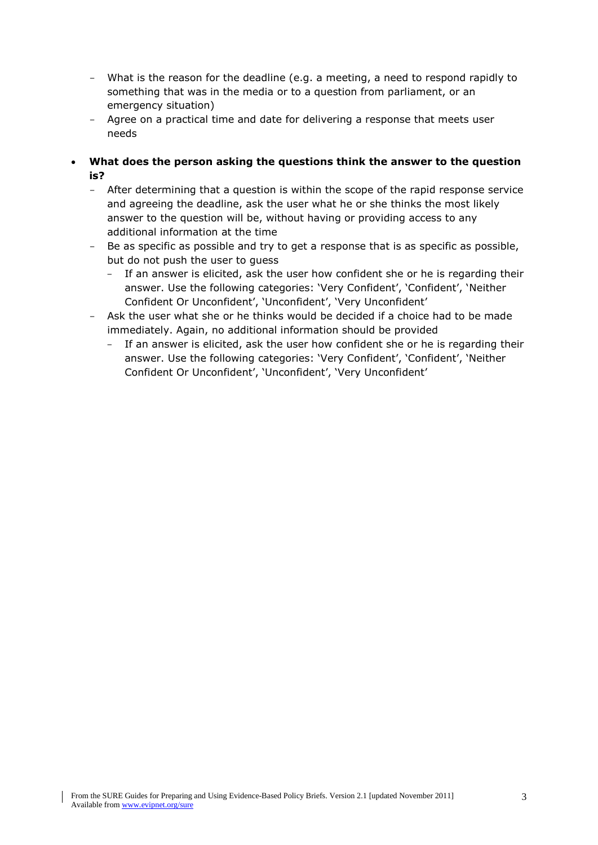- What is the reason for the deadline (e.g. a meeting, a need to respond rapidly to something that was in the media or to a question from parliament, or an emergency situation)
- Agree on a practical time and date for delivering a response that meets user needs
- **What does the person asking the questions think the answer to the question is?**
	- After determining that a question is within the scope of the rapid response service and agreeing the deadline, ask the user what he or she thinks the most likely answer to the question will be, without having or providing access to any additional information at the time
	- Be as specific as possible and try to get a response that is as specific as possible, but do not push the user to guess
		- If an answer is elicited, ask the user how confident she or he is regarding their answer. Use the following categories: 'Very Confident', 'Confident', 'Neither Confident Or Unconfident", "Unconfident", "Very Unconfident"
	- Ask the user what she or he thinks would be decided if a choice had to be made immediately. Again, no additional information should be provided
		- If an answer is elicited, ask the user how confident she or he is regarding their answer. Use the following categories: "Very Confident", "Confident", "Neither Confident Or Unconfident', 'Unconfident', 'Very Unconfident'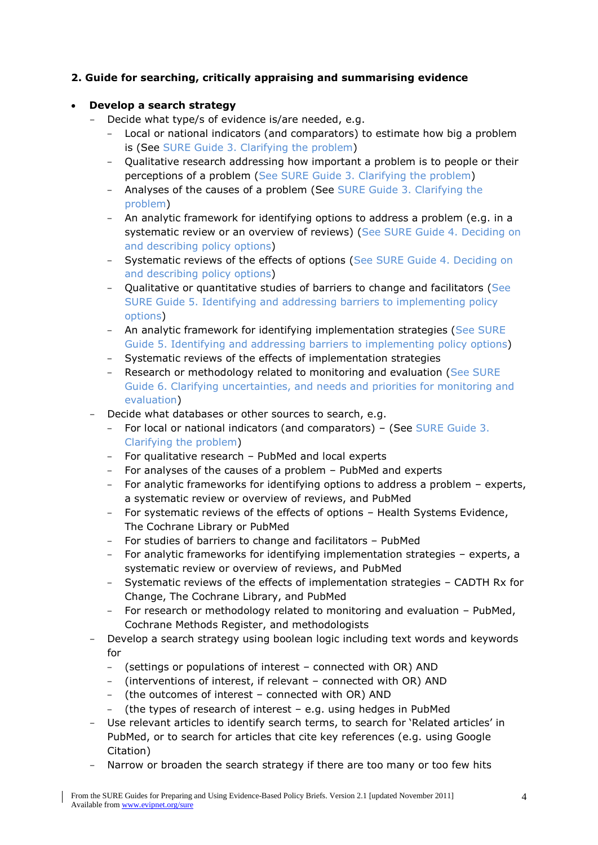## **2. Guide for searching, critically appraising and summarising evidence**

#### **Develop a search strategy**

- Decide what type/s of evidence is/are needed, e.g.
	- Local or national indicators (and comparators) to estimate how big a problem is (See SURE Guide 3. Clarifying the problem)
	- Qualitative research addressing how important a problem is to people or their perceptions of a problem (See SURE Guide 3. Clarifying the problem)
	- Analyses of the causes of a problem (See SURE Guide 3. Clarifying the problem)
	- An analytic framework for identifying options to address a problem (e.g. in a systematic review or an overview of reviews) (See SURE Guide 4. Deciding on and describing policy options)
	- Systematic reviews of the effects of options (See SURE Guide 4. Deciding on and describing policy options)
	- Qualitative or quantitative studies of barriers to change and facilitators (See SURE Guide 5. Identifying and addressing barriers to implementing policy options)
	- An analytic framework for identifying implementation strategies (See SURE Guide 5. Identifying and addressing barriers to implementing policy options)
	- Systematic reviews of the effects of implementation strategies
	- Research or methodology related to monitoring and evaluation (See SURE Guide 6. Clarifying uncertainties, and needs and priorities for monitoring and evaluation)
- Decide what databases or other sources to search, e.g.
	- For local or national indicators (and comparators) (See SURE Guide 3. Clarifying the problem)
	- For qualitative research PubMed and local experts
	- For analyses of the causes of a problem PubMed and experts
	- For analytic frameworks for identifying options to address a problem experts, a systematic review or overview of reviews, and PubMed
	- For systematic reviews of the effects of options Health Systems Evidence, The Cochrane Library or PubMed
	- For studies of barriers to change and facilitators PubMed
	- For analytic frameworks for identifying implementation strategies experts, a systematic review or overview of reviews, and PubMed
	- Systematic reviews of the effects of implementation strategies CADTH Rx for Change, The Cochrane Library, and PubMed
	- For research or methodology related to monitoring and evaluation PubMed, Cochrane Methods Register, and methodologists
- Develop a search strategy using boolean logic including text words and keywords for
	- (settings or populations of interest connected with OR) AND
	- (interventions of interest, if relevant connected with OR) AND
	- (the outcomes of interest connected with OR) AND
	- (the types of research of interest  $-$  e.g. using hedges in PubMed
- Use relevant articles to identify search terms, to search for "Related articles" in PubMed, or to search for articles that cite key references (e.g. using Google Citation)
- Narrow or broaden the search strategy if there are too many or too few hits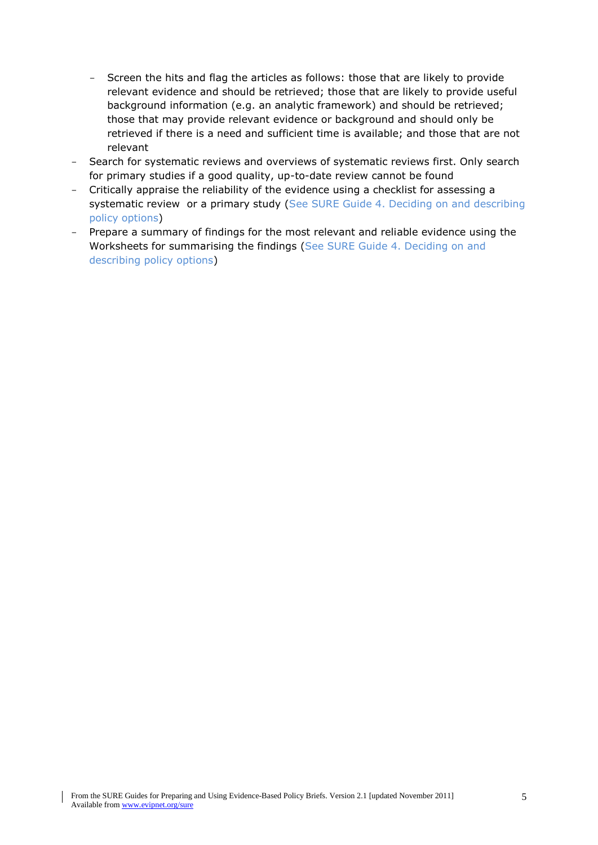- Screen the hits and flag the articles as follows: those that are likely to provide relevant evidence and should be retrieved; those that are likely to provide useful background information (e.g. an analytic framework) and should be retrieved; those that may provide relevant evidence or background and should only be retrieved if there is a need and sufficient time is available; and those that are not relevant
- Search for systematic reviews and overviews of systematic reviews first. Only search for primary studies if a good quality, up-to-date review cannot be found
- Critically appraise the reliability of the evidence using a checklist for assessing a systematic review or a primary study (See SURE Guide 4. Deciding on and describing policy options)
- Prepare a summary of findings for the most relevant and reliable evidence using the Worksheets for summarising the findings (See SURE Guide 4. Deciding on and describing policy options)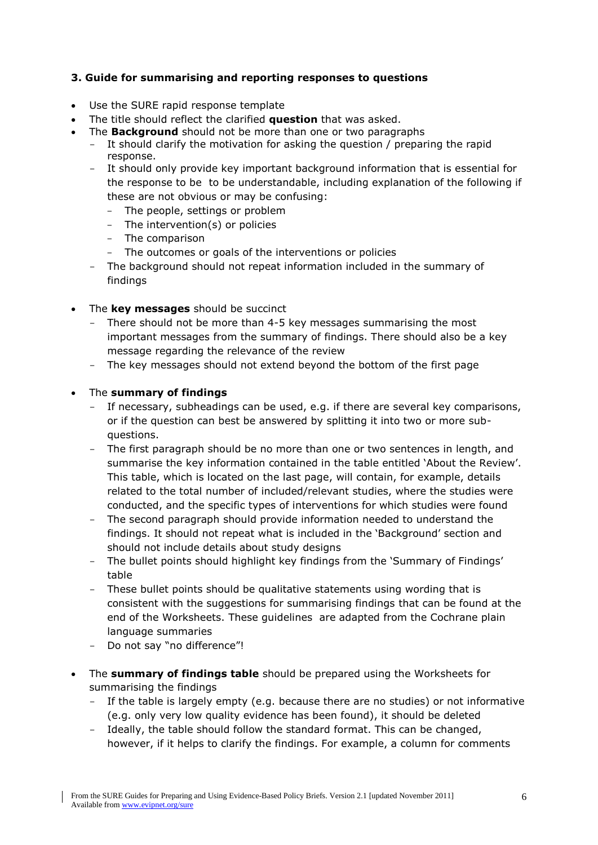## **3. Guide for summarising and reporting responses to questions**

- Use the SURE rapid response template
- The title should reflect the clarified **question** that was asked.
- The **Background** should not be more than one or two paragraphs
	- It should clarify the motivation for asking the question / preparing the rapid response.
	- It should only provide key important background information that is essential for the response to be to be understandable, including explanation of the following if these are not obvious or may be confusing:
		- The people, settings or problem
		- The intervention(s) or policies
		- The comparison
		- The outcomes or goals of the interventions or policies
	- The background should not repeat information included in the summary of findings
- The **key messages** should be succinct
	- There should not be more than 4-5 key messages summarising the most important messages from the summary of findings. There should also be a key message regarding the relevance of the review
	- The key messages should not extend beyond the bottom of the first page

#### The **summary of findings**

- If necessary, subheadings can be used, e.g. if there are several key comparisons, or if the question can best be answered by splitting it into two or more subquestions.
- The first paragraph should be no more than one or two sentences in length, and summarise the key information contained in the table entitled "About the Review". This table, which is located on the last page, will contain, for example, details related to the total number of included/relevant studies, where the studies were conducted, and the specific types of interventions for which studies were found
- The second paragraph should provide information needed to understand the findings. It should not repeat what is included in the "Background" section and should not include details about study designs
- The bullet points should highlight key findings from the 'Summary of Findings' table
- These bullet points should be qualitative statements using wording that is consistent with the suggestions for summarising findings that can be found at the end of the Worksheets. These guidelines are adapted from the Cochrane plain language summaries
- Do not say "no difference"!
- The **summary of findings table** should be prepared using the Worksheets for summarising the findings
	- If the table is largely empty (e.g. because there are no studies) or not informative (e.g. only very low quality evidence has been found), it should be deleted
	- Ideally, the table should follow the standard format. This can be changed, however, if it helps to clarify the findings. For example, a column for comments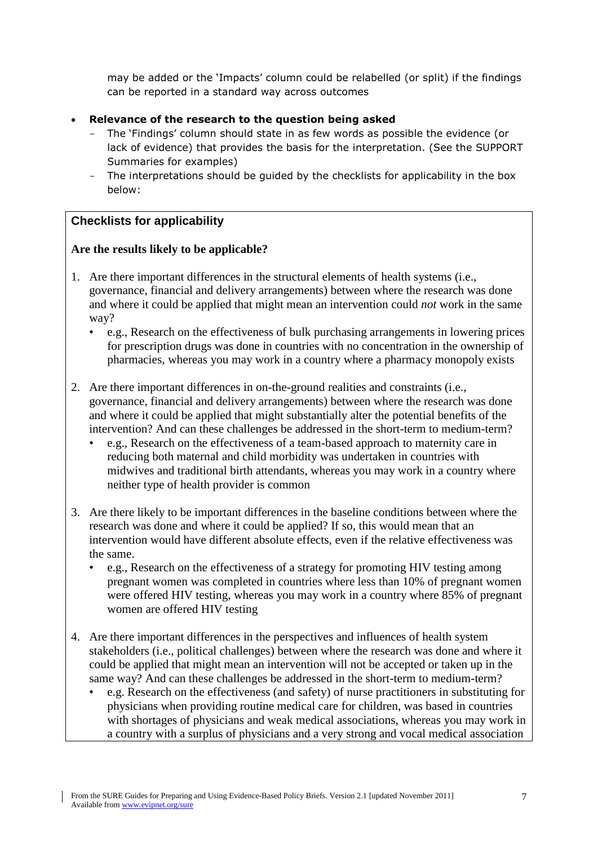may be added or the "Impacts" column could be relabelled (or split) if the findings can be reported in a standard way across outcomes

# **Relevance of the research to the question being asked**

- The 'Findings' column should state in as few words as possible the evidence (or lack of evidence) that provides the basis for the interpretation. (See the SUPPORT Summaries for examples)
- The interpretations should be guided by the checklists for applicability in the box below:

# **Checklists for applicability**

# **Are the results likely to be applicable?**

- 1. Are there important differences in the structural elements of health systems (i.e., governance, financial and delivery arrangements) between where the research was done and where it could be applied that might mean an intervention could *not* work in the same way?
	- e.g., Research on the effectiveness of bulk purchasing arrangements in lowering prices for prescription drugs was done in countries with no concentration in the ownership of pharmacies, whereas you may work in a country where a pharmacy monopoly exists
- 2. Are there important differences in on-the-ground realities and constraints (i.e., governance, financial and delivery arrangements) between where the research was done and where it could be applied that might substantially alter the potential benefits of the intervention? And can these challenges be addressed in the short-term to medium-term?
	- e.g., Research on the effectiveness of a team-based approach to maternity care in reducing both maternal and child morbidity was undertaken in countries with midwives and traditional birth attendants, whereas you may work in a country where neither type of health provider is common
- 3. Are there likely to be important differences in the baseline conditions between where the research was done and where it could be applied? If so, this would mean that an intervention would have different absolute effects, even if the relative effectiveness was the same.
	- e.g., Research on the effectiveness of a strategy for promoting HIV testing among pregnant women was completed in countries where less than 10% of pregnant women were offered HIV testing, whereas you may work in a country where 85% of pregnant women are offered HIV testing
- 4. Are there important differences in the perspectives and influences of health system stakeholders (i.e., political challenges) between where the research was done and where it could be applied that might mean an intervention will not be accepted or taken up in the same way? And can these challenges be addressed in the short-term to medium-term?
	- e.g. Research on the effectiveness (and safety) of nurse practitioners in substituting for physicians when providing routine medical care for children, was based in countries with shortages of physicians and weak medical associations, whereas you may work in a country with a surplus of physicians and a very strong and vocal medical association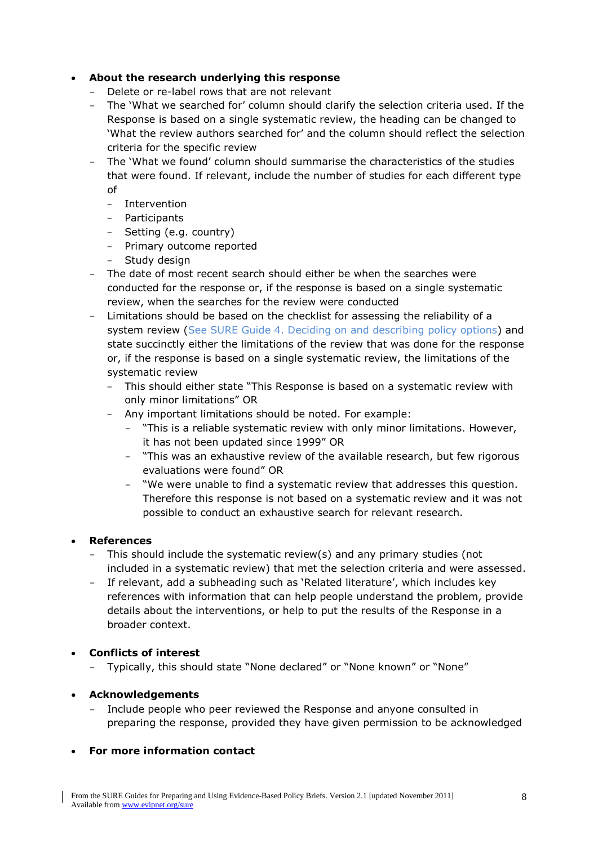## **About the research underlying this response**

- Delete or re-label rows that are not relevant
- The 'What we searched for' column should clarify the selection criteria used. If the Response is based on a single systematic review, the heading can be changed to "What the review authors searched for" and the column should reflect the selection criteria for the specific review
- The "What we found" column should summarise the characteristics of the studies that were found. If relevant, include the number of studies for each different type of
	- Intervention
	- Participants
	- Setting (e.g. country)
	- Primary outcome reported
	- Study design
- The date of most recent search should either be when the searches were conducted for the response or, if the response is based on a single systematic review, when the searches for the review were conducted
- Limitations should be based on the checklist for assessing the reliability of a system review (See SURE Guide 4. Deciding on and describing policy options) and state succinctly either the limitations of the review that was done for the response or, if the response is based on a single systematic review, the limitations of the systematic review
	- This should either state "This Response is based on a systematic review with only minor limitations" OR
	- Any important limitations should be noted. For example:
		- "This is a reliable systematic review with only minor limitations. However, it has not been updated since 1999" OR
		- "This was an exhaustive review of the available research, but few rigorous evaluations were found" OR
		- "We were unable to find a systematic review that addresses this question. Therefore this response is not based on a systematic review and it was not possible to conduct an exhaustive search for relevant research.

#### **References**

- This should include the systematic review(s) and any primary studies (not included in a systematic review) that met the selection criteria and were assessed.
- If relevant, add a subheading such as 'Related literature', which includes key references with information that can help people understand the problem, provide details about the interventions, or help to put the results of the Response in a broader context.

# **Conflicts of interest**

- Typically, this should state "None declared" or "None known" or "None"

# **Acknowledgements**

- Include people who peer reviewed the Response and anyone consulted in preparing the response, provided they have given permission to be acknowledged

# **For more information contact**